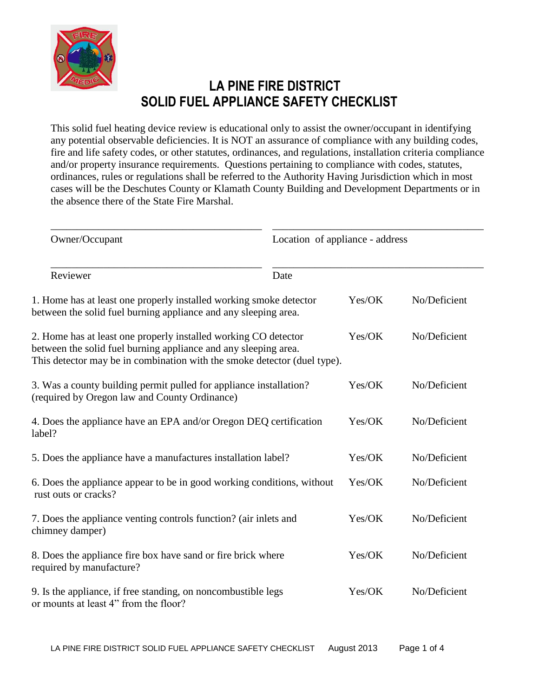

## **LA PINE FIRE DISTRICT SOLID FUEL APPLIANCE SAFETY CHECKLIST**

This solid fuel heating device review is educational only to assist the owner/occupant in identifying any potential observable deficiencies. It is NOT an assurance of compliance with any building codes, fire and life safety codes, or other statutes, ordinances, and regulations, installation criteria compliance and/or property insurance requirements. Questions pertaining to compliance with codes, statutes, ordinances, rules or regulations shall be referred to the Authority Having Jurisdiction which in most cases will be the Deschutes County or Klamath County Building and Development Departments or in the absence there of the State Fire Marshal.

| Owner/Occupant                                                                                                                                                                                                 | Location of appliance - address |        |              |
|----------------------------------------------------------------------------------------------------------------------------------------------------------------------------------------------------------------|---------------------------------|--------|--------------|
| Reviewer                                                                                                                                                                                                       | Date                            |        |              |
| 1. Home has at least one properly installed working smoke detector<br>between the solid fuel burning appliance and any sleeping area.                                                                          |                                 | Yes/OK | No/Deficient |
| 2. Home has at least one properly installed working CO detector<br>between the solid fuel burning appliance and any sleeping area.<br>This detector may be in combination with the smoke detector (duel type). |                                 | Yes/OK | No/Deficient |
| 3. Was a county building permit pulled for appliance installation?<br>(required by Oregon law and County Ordinance)                                                                                            |                                 | Yes/OK | No/Deficient |
| 4. Does the appliance have an EPA and/or Oregon DEQ certification<br>label?                                                                                                                                    |                                 | Yes/OK | No/Deficient |
| 5. Does the appliance have a manufactures installation label?                                                                                                                                                  |                                 | Yes/OK | No/Deficient |
| 6. Does the appliance appear to be in good working conditions, without<br>rust outs or cracks?                                                                                                                 |                                 | Yes/OK | No/Deficient |
| 7. Does the appliance venting controls function? (air inlets and<br>chimney damper)                                                                                                                            |                                 | Yes/OK | No/Deficient |
| 8. Does the appliance fire box have sand or fire brick where<br>required by manufacture?                                                                                                                       |                                 | Yes/OK | No/Deficient |
| 9. Is the appliance, if free standing, on noncombustible legs<br>or mounts at least 4" from the floor?                                                                                                         |                                 | Yes/OK | No/Deficient |
|                                                                                                                                                                                                                |                                 |        |              |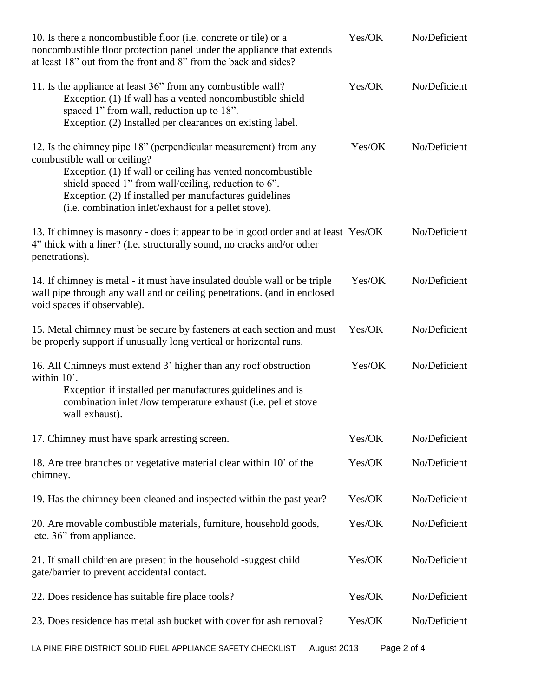| 10. Is there a noncombustible floor (i.e. concrete or tile) or a<br>noncombustible floor protection panel under the appliance that extends<br>at least 18" out from the front and 8" from the back and sides?                                                                                                                            | Yes/OK | No/Deficient |  |  |
|------------------------------------------------------------------------------------------------------------------------------------------------------------------------------------------------------------------------------------------------------------------------------------------------------------------------------------------|--------|--------------|--|--|
| 11. Is the appliance at least 36" from any combustible wall?<br>Exception (1) If wall has a vented noncombustible shield<br>spaced 1" from wall, reduction up to 18".<br>Exception (2) Installed per clearances on existing label.                                                                                                       | Yes/OK | No/Deficient |  |  |
| 12. Is the chimney pipe 18" (perpendicular measurement) from any<br>combustible wall or ceiling?<br>Exception (1) If wall or ceiling has vented noncombustible<br>shield spaced 1" from wall/ceiling, reduction to 6".<br>Exception (2) If installed per manufactures guidelines<br>(i.e. combination inlet/exhaust for a pellet stove). | Yes/OK | No/Deficient |  |  |
| 13. If chimney is masonry - does it appear to be in good order and at least Yes/OK<br>4" thick with a liner? (I.e. structurally sound, no cracks and/or other<br>penetrations).                                                                                                                                                          |        | No/Deficient |  |  |
| 14. If chimney is metal - it must have insulated double wall or be triple<br>wall pipe through any wall and or ceiling penetrations. (and in enclosed<br>void spaces if observable).                                                                                                                                                     | Yes/OK | No/Deficient |  |  |
| 15. Metal chimney must be secure by fasteners at each section and must<br>be properly support if unusually long vertical or horizontal runs.                                                                                                                                                                                             | Yes/OK | No/Deficient |  |  |
| 16. All Chimneys must extend 3' higher than any roof obstruction<br>within 10'.<br>Exception if installed per manufactures guidelines and is<br>combination inlet /low temperature exhaust (i.e. pellet stove<br>wall exhaust).                                                                                                          | Yes/OK | No/Deficient |  |  |
| 17. Chimney must have spark arresting screen.                                                                                                                                                                                                                                                                                            | Yes/OK | No/Deficient |  |  |
| 18. Are tree branches or vegetative material clear within 10' of the<br>chimney.                                                                                                                                                                                                                                                         | Yes/OK | No/Deficient |  |  |
| 19. Has the chimney been cleaned and inspected within the past year?                                                                                                                                                                                                                                                                     | Yes/OK | No/Deficient |  |  |
| 20. Are movable combustible materials, furniture, household goods,<br>etc. 36" from appliance.                                                                                                                                                                                                                                           | Yes/OK | No/Deficient |  |  |
| 21. If small children are present in the household -suggest child<br>gate/barrier to prevent accidental contact.                                                                                                                                                                                                                         | Yes/OK | No/Deficient |  |  |
| 22. Does residence has suitable fire place tools?                                                                                                                                                                                                                                                                                        | Yes/OK | No/Deficient |  |  |
| 23. Does residence has metal ash bucket with cover for ash removal?                                                                                                                                                                                                                                                                      | Yes/OK | No/Deficient |  |  |
| August 2013<br>Page 2 of 4<br>LA PINE FIRE DISTRICT SOLID FUEL APPLIANCE SAFETY CHECKLIST                                                                                                                                                                                                                                                |        |              |  |  |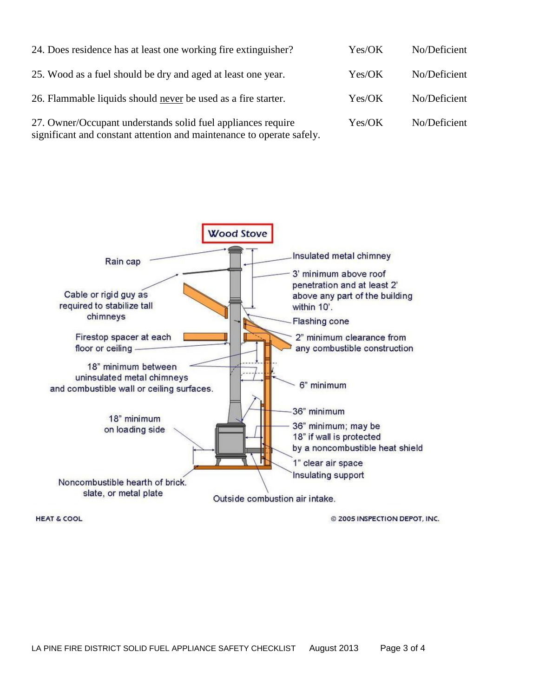| 24. Does residence has at least one working fire extinguisher?                                                                        | Yes/OK | No/Deficient |
|---------------------------------------------------------------------------------------------------------------------------------------|--------|--------------|
| 25. Wood as a fuel should be dry and aged at least one year.                                                                          | Yes/OK | No/Deficient |
| 26. Flammable liquids should never be used as a fire starter.                                                                         | Yes/OK | No/Deficient |
| 27. Owner/Occupant understands solid fuel appliances require<br>significant and constant attention and maintenance to operate safely. | Yes/OK | No/Deficient |